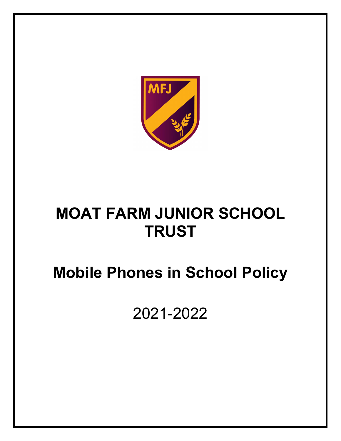

## **MOAT FARM JUNIOR SCHOOL TRUST**

# **Mobile Phones in School Policy**

2021-2022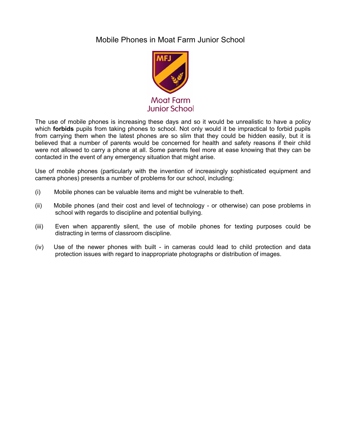#### Mobile Phones in Moat Farm Junior School



The use of mobile phones is increasing these days and so it would be unrealistic to have a policy which **forbids** pupils from taking phones to school. Not only would it be impractical to forbid pupils from carrying them when the latest phones are so slim that they could be hidden easily, but it is believed that a number of parents would be concerned for health and safety reasons if their child were not allowed to carry a phone at all. Some parents feel more at ease knowing that they can be contacted in the event of any emergency situation that might arise.

Use of mobile phones (particularly with the invention of increasingly sophisticated equipment and camera phones) presents a number of problems for our school, including:

- (i) Mobile phones can be valuable items and might be vulnerable to theft.
- (ii) Mobile phones (and their cost and level of technology or otherwise) can pose problems in school with regards to discipline and potential bullying.
- (iii) Even when apparently silent, the use of mobile phones for texting purposes could be distracting in terms of classroom discipline.
- (iv) Use of the newer phones with built in cameras could lead to child protection and data protection issues with regard to inappropriate photographs or distribution of images.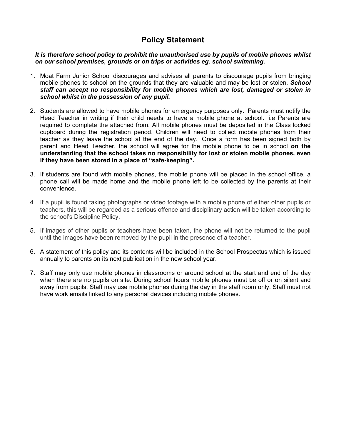#### **Policy Statement**

*It is therefore school policy to prohibit the unauthorised use by pupils of mobile phones whilst on our school premises, grounds or on trips or activities eg. school swimming.* 

- 1. Moat Farm Junior School discourages and advises all parents to discourage pupils from bringing mobile phones to school on the grounds that they are valuable and may be lost or stolen. *School staff can accept no responsibility for mobile phones which are lost, damaged or stolen in school whilst in the possession of any pupil.*
- 2. Students are allowed to have mobile phones for emergency purposes only. Parents must notify the Head Teacher in writing if their child needs to have a mobile phone at school. i.e Parents are required to complete the attached from. All mobile phones must be deposited in the Class locked cupboard during the registration period. Children will need to collect mobile phones from their teacher as they leave the school at the end of the day. Once a form has been signed both by parent and Head Teacher, the school will agree for the mobile phone to be in school **on the understanding that the school takes no responsibility for lost or stolen mobile phones, even if they have been stored in a place of "safe-keeping".**
- 3. If students are found with mobile phones, the mobile phone will be placed in the school office, a phone call will be made home and the mobile phone left to be collected by the parents at their convenience.
- 4. If a pupil is found taking photographs or video footage with a mobile phone of either other pupils or teachers, this will be regarded as a serious offence and disciplinary action will be taken according to the school's Discipline Policy.
- 5. If images of other pupils or teachers have been taken, the phone will not be returned to the pupil until the images have been removed by the pupil in the presence of a teacher.
- 6. A statement of this policy and its contents will be included in the School Prospectus which is issued annually to parents on its next publication in the new school year.
- 7. Staff may only use mobile phones in classrooms or around school at the start and end of the day when there are no pupils on site. During school hours mobile phones must be off or on silent and away from pupils. Staff may use mobile phones during the day in the staff room only. Staff must not have work emails linked to any personal devices including mobile phones.